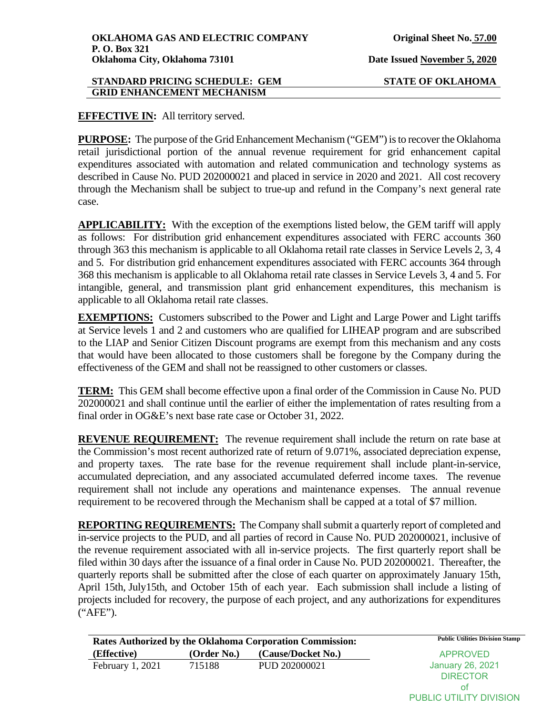## **EFFECTIVE IN:** All territory served.

**PURPOSE:** The purpose of the Grid Enhancement Mechanism ("GEM") is to recover the Oklahoma retail jurisdictional portion of the annual revenue requirement for grid enhancement capital expenditures associated with automation and related communication and technology systems as described in Cause No. PUD 202000021 and placed in service in 2020 and 2021. All cost recovery through the Mechanism shall be subject to true-up and refund in the Company's next general rate case.

**APPLICABILITY:** With the exception of the exemptions listed below, the GEM tariff will apply as follows: For distribution grid enhancement expenditures associated with FERC accounts 360 through 363 this mechanism is applicable to all Oklahoma retail rate classes in Service Levels 2, 3, 4 and 5. For distribution grid enhancement expenditures associated with FERC accounts 364 through 368 this mechanism is applicable to all Oklahoma retail rate classes in Service Levels 3, 4 and 5. For intangible, general, and transmission plant grid enhancement expenditures, this mechanism is applicable to all Oklahoma retail rate classes.

**EXEMPTIONS:** Customers subscribed to the Power and Light and Large Power and Light tariffs at Service levels 1 and 2 and customers who are qualified for LIHEAP program and are subscribed to the LIAP and Senior Citizen Discount programs are exempt from this mechanism and any costs that would have been allocated to those customers shall be foregone by the Company during the effectiveness of the GEM and shall not be reassigned to other customers or classes.

**TERM:** This GEM shall become effective upon a final order of the Commission in Cause No. PUD 202000021 and shall continue until the earlier of either the implementation of rates resulting from a final order in OG&E's next base rate case or October 31, 2022.

**REVENUE REQUIREMENT:** The revenue requirement shall include the return on rate base at the Commission's most recent authorized rate of return of 9.071%, associated depreciation expense, and property taxes. The rate base for the revenue requirement shall include plant-in-service, accumulated depreciation, and any associated accumulated deferred income taxes. The revenue requirement shall not include any operations and maintenance expenses. The annual revenue requirement to be recovered through the Mechanism shall be capped at a total of \$7 million.

**REPORTING REQUIREMENTS:** The Company shall submit a quarterly report of completed and in-service projects to the PUD, and all parties of record in Cause No. PUD 202000021, inclusive of the revenue requirement associated with all in-service projects. The first quarterly report shall be filed within 30 days after the issuance of a final order in Cause No. PUD 202000021. Thereafter, the quarterly reports shall be submitted after the close of each quarter on approximately January 15th, April 15th, July15th, and October 15th of each year. Each submission shall include a listing of projects included for recovery, the purpose of each project, and any authorizations for expenditures ("AFE").

| <b>Rates Authorized by the Oklahoma Corporation Commission:</b> |             |                    | <b>Public Utilities Division Stamp</b> |
|-----------------------------------------------------------------|-------------|--------------------|----------------------------------------|
| (Effective)                                                     | (Order No.) | (Cause/Docket No.) | APPROVED                               |
| February $1,2021$                                               | 715188      | PUD 202000021      | January 26, 2021                       |
|                                                                 |             |                    | <b>DIRECTOR</b>                        |
|                                                                 |             |                    | ΩŤ                                     |

PUBLIC UTILITY DIVISION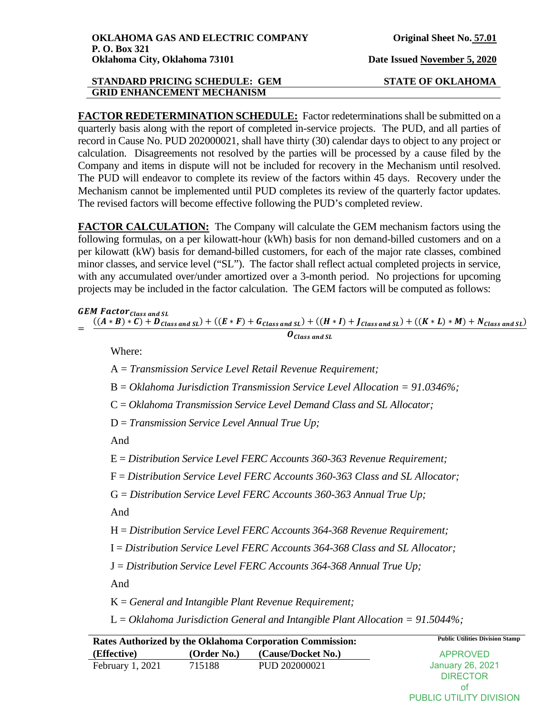**FACTOR REDETERMINATION SCHEDULE:** Factor redeterminations shall be submitted on a quarterly basis along with the report of completed in-service projects. The PUD, and all parties of record in Cause No. PUD 202000021, shall have thirty (30) calendar days to object to any project or calculation. Disagreements not resolved by the parties will be processed by a cause filed by the Company and items in dispute will not be included for recovery in the Mechanism until resolved. The PUD will endeavor to complete its review of the factors within 45 days. Recovery under the Mechanism cannot be implemented until PUD completes its review of the quarterly factor updates. The revised factors will become effective following the PUD's completed review.

**FACTOR CALCULATION:** The Company will calculate the GEM mechanism factors using the following formulas, on a per kilowatt-hour (kWh) basis for non demand-billed customers and on a per kilowatt (kW) basis for demand-billed customers, for each of the major rate classes, combined minor classes, and service level ("SL"). The factor shall reflect actual completed projects in service, with any accumulated over/under amortized over a 3-month period. No projections for upcoming projects may be included in the factor calculation. The GEM factors will be computed as follows:

## **GEM Factor** Class and SL

$$
= \frac{((A*B)*C)+D_{Class\ and\ SL})+((E*F)+G_{Class\ and\ SL})+((H*I)+J_{Class\ and\ SL})+((K*L)*M)+N_{Class\ and\ SL})}{O_{Class\ and\ SL}}
$$

Where:

A = *Transmission Service Level Retail Revenue Requirement;*

B = *Oklahoma Jurisdiction Transmission Service Level Allocation = 91.0346%;* 

C = *Oklahoma Transmission Service Level Demand Class and SL Allocator;*

D = *Transmission Service Level Annual True Up;*

And

E = *Distribution Service Level FERC Accounts 360-363 Revenue Requirement;*

F = *Distribution Service Level FERC Accounts 360-363 Class and SL Allocator;* 

G = *Distribution Service Level FERC Accounts 360-363 Annual True Up;*

And

H = *Distribution Service Level FERC Accounts 364-368 Revenue Requirement;* 

I = *Distribution Service Level FERC Accounts 364-368 Class and SL Allocator;* 

J = *Distribution Service Level FERC Accounts 364-368 Annual True Up;*

And

K = *General and Intangible Plant Revenue Requirement;*

L = *Oklahoma Jurisdiction General and Intangible Plant Allocation = 91.5044%;*

Rates Authorized by the Oklahoma Corporation Commission: Public Utilities Division Stamp **(Effective) (Order No.) (Cause/Docket No.)** February 1, 2021 715188 PUD 202000021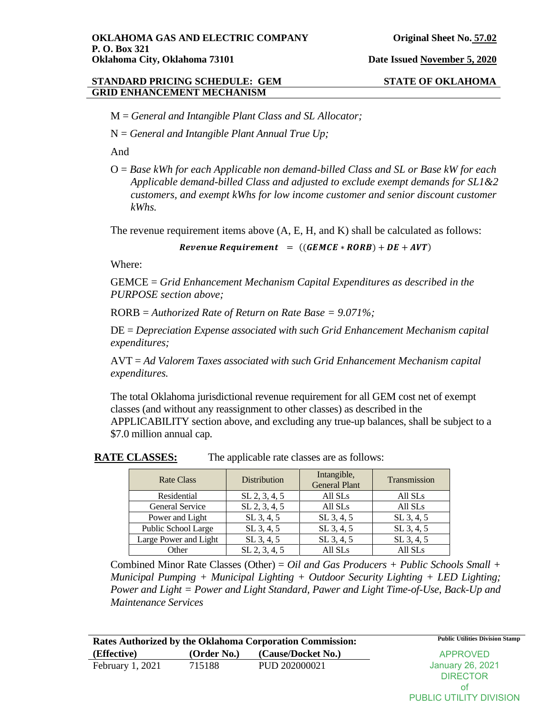M = *General and Intangible Plant Class and SL Allocator;* 

N = *General and Intangible Plant Annual True Up;*

And

O = *Base kWh for each Applicable non demand-billed Class and SL or Base kW for each Applicable demand-billed Class and adjusted to exclude exempt demands for SL1&2 customers, and exempt kWhs for low income customer and senior discount customer kWhs.*

The revenue requirement items above (A, E, H, and K) shall be calculated as follows:

Revenue Requirement =  $((GEMCE * RORB) + DE + AVT)$ 

Where:

GEMCE = *Grid Enhancement Mechanism Capital Expenditures as described in the PURPOSE section above;* 

RORB = *Authorized Rate of Return on Rate Base = 9.071%;* 

DE = *Depreciation Expense associated with such Grid Enhancement Mechanism capital expenditures;* 

AVT = *Ad Valorem Taxes associated with such Grid Enhancement Mechanism capital expenditures.* 

The total Oklahoma jurisdictional revenue requirement for all GEM cost net of exempt classes (and without any reassignment to other classes) as described in the APPLICABILITY section above, and excluding any true-up balances, shall be subject to a \$7.0 million annual cap.

| <b>Rate Class</b>     | Distribution    | Intangible,<br><b>General Plant</b> | Transmission        |
|-----------------------|-----------------|-------------------------------------|---------------------|
| Residential           | $SL$ 2, 3, 4, 5 | All SLs                             | All SL <sub>s</sub> |
| General Service       | $SL$ 2, 3, 4, 5 | All SLs                             | All SLs             |
| Power and Light       | $SL$ 3, 4, 5    | $SL$ 3, 4, 5                        | $SL$ 3, 4, 5        |
| Public School Large   | $SL$ 3, 4, 5    | $SL$ 3, 4, 5                        | $SL$ 3, 4, 5        |
| Large Power and Light | $SL$ 3, 4, 5    | $SL$ 3, 4, 5                        | $SL$ 3, 4, 5        |
| Other                 | $SL$ 2, 3, 4, 5 | All SLs                             | All SLs             |

**RATE CLASSES:** The applicable rate classes are as follows:

Combined Minor Rate Classes (Other) = *Oil and Gas Producers + Public Schools Small + Municipal Pumping + Municipal Lighting + Outdoor Security Lighting + LED Lighting; Power and Light = Power and Light Standard, Pawer and Light Time-of-Use, Back-Up and Maintenance Services*

| <b>Rates Authorized by the Oklahoma Corporation Commission:</b> |             |                    | <b>Public Utilities Division Stamp</b> |
|-----------------------------------------------------------------|-------------|--------------------|----------------------------------------|
| (Effective)                                                     | (Order No.) | (Cause/Docket No.) | <b>APPROVED</b>                        |
| February $1,2021$                                               | 715188      | PUD 202000021      | January 26, 2021                       |
|                                                                 |             |                    | <b>DIRECTOR</b>                        |
|                                                                 |             |                    |                                        |
|                                                                 |             |                    | <b>PUBLIC UTILITY DIVISION</b>         |